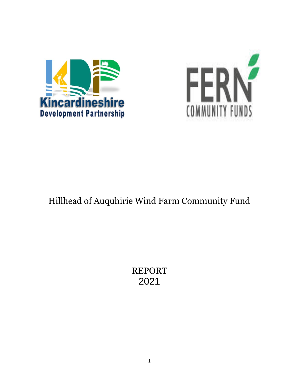



# Hillhead of Auquhirie Wind Farm Community Fund

REPORT 2021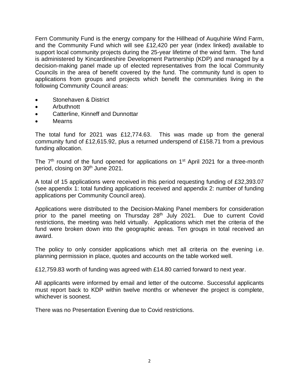Fern Community Fund is the energy company for the Hillhead of Auquhirie Wind Farm, and the Community Fund which will see £12,420 per year (index linked) available to support local community projects during the 25-year lifetime of the wind farm. The fund is administered by Kincardineshire Development Partnership (KDP) and managed by a decision-making panel made up of elected representatives from the local Community Councils in the area of benefit covered by the fund. The community fund is open to applications from groups and projects which benefit the communities living in the following Community Council areas:

- Stonehaven & District
- Arbuthnott
- Catterline, Kinneff and Dunnottar
- Mearns

The total fund for 2021 was £12,774.63. This was made up from the general community fund of £12,615.92, plus a returned underspend of £158.71 from a previous funding allocation.

The  $7<sup>th</sup>$  round of the fund opened for applications on  $1<sup>st</sup>$  April 2021 for a three-month period, closing on 30<sup>th</sup> June 2021.

A total of 15 applications were received in this period requesting funding of £32,393.07 (see appendix 1: total funding applications received and appendix 2: number of funding applications per Community Council area).

Applications were distributed to the Decision-Making Panel members for consideration prior to the panel meeting on Thursday 28<sup>th</sup> July 2021. Due to current Covid restrictions, the meeting was held virtually. Applications which met the criteria of the fund were broken down into the geographic areas. Ten groups in total received an award.

The policy to only consider applications which met all criteria on the evening i.e. planning permission in place, quotes and accounts on the table worked well.

£12,759.83 worth of funding was agreed with £14.80 carried forward to next year.

All applicants were informed by email and letter of the outcome. Successful applicants must report back to KDP within twelve months or whenever the project is complete, whichever is soonest.

There was no Presentation Evening due to Covid restrictions.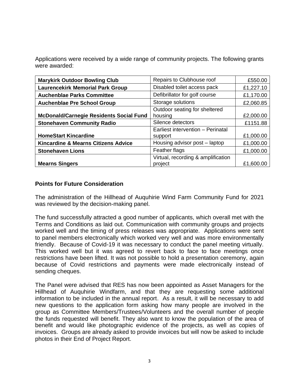Applications were received by a wide range of community projects. The following grants were awarded:

| <b>Marykirk Outdoor Bowling Club</b>           | Repairs to Clubhouse roof          | £550.00   |
|------------------------------------------------|------------------------------------|-----------|
| <b>Laurencekirk Memorial Park Group</b>        | Disabled toilet access pack        | £1,227.10 |
| <b>Auchenblae Parks Committee</b>              | Defibrillator for golf course      | £1,170.00 |
| <b>Auchenblae Pre School Group</b>             | Storage solutions                  | £2,060.85 |
|                                                | Outdoor seating for sheltered      |           |
| <b>McDonald/Carnegie Residents Social Fund</b> | housing                            | £2,000.00 |
| <b>Stonehaven Community Radio</b>              | Silence detectors                  | £1151.88  |
|                                                | Earliest intervention - Perinatal  |           |
| <b>HomeStart Kincardine</b>                    | support                            | £1,000.00 |
| <b>Kincardine &amp; Mearns Citizens Advice</b> | Housing advisor post - laptop      | £1,000.00 |
| <b>Stonehaven Lions</b>                        | Feather flags                      | £1,000.00 |
|                                                | Virtual, recording & amplification |           |
| <b>Mearns Singers</b>                          | project                            | £1,600.00 |

## **Points for Future Consideration**

The administration of the Hillhead of Auquhirie Wind Farm Community Fund for 2021 was reviewed by the decision-making panel.

The fund successfully attracted a good number of applicants, which overall met with the Terms and Conditions as laid out. Communication with community groups and projects worked well and the timing of press releases was appropriate. Applications were sent to panel members electronically which worked very well and was more environmentally friendly. Because of Covid-19 it was necessary to conduct the panel meeting virtually. This worked well but it was agreed to revert back to face to face meetings once restrictions have been lifted. It was not possible to hold a presentation ceremony, again because of Covid restrictions and payments were made electronically instead of sending cheques.

The Panel were advised that RES has now been appointed as Asset Managers for the Hillhead of Auquhirie Windfarm, and that they are requesting some additional information to be included in the annual report. As a result, it will be necessary to add new questions to the application form asking how many people are involved in the group as Committee Members/Trustees/Volunteers and the overall number of people the funds requested will benefit. They also want to know the population of the area of benefit and would like photographic evidence of the projects, as well as copies of invoices. Groups are already asked to provide invoices but will now be asked to include photos in their End of Project Report.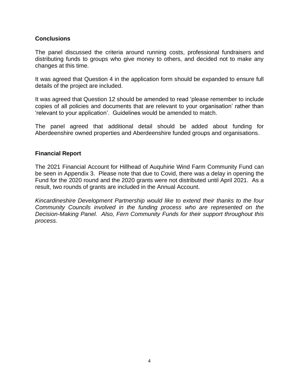# **Conclusions**

The panel discussed the criteria around running costs, professional fundraisers and distributing funds to groups who give money to others, and decided not to make any changes at this time.

It was agreed that Question 4 in the application form should be expanded to ensure full details of the project are included.

It was agreed that Question 12 should be amended to read 'please remember to include copies of all policies and documents that are relevant to your organisation' rather than 'relevant to your application'. Guidelines would be amended to match.

The panel agreed that additional detail should be added about funding for Aberdeenshire owned properties and Aberdeenshire funded groups and organisations.

# **Financial Report**

The 2021 Financial Account for Hillhead of Auquhirie Wind Farm Community Fund can be seen in Appendix 3. Please note that due to Covid, there was a delay in opening the Fund for the 2020 round and the 2020 grants were not distributed until April 2021. As a result, two rounds of grants are included in the Annual Account.

*Kincardineshire Development Partnership would like to extend their thanks to the four Community Councils involved in the funding process who are represented on the Decision-Making Panel. Also, Fern Community Funds for their support throughout this process.*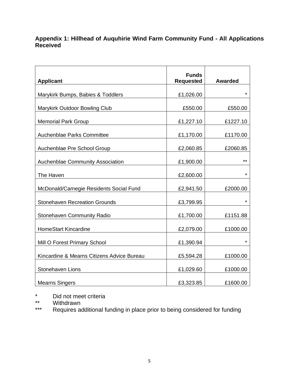# **Appendix 1: Hillhead of Auquhirie Wind Farm Community Fund - All Applications Received**

| <b>Applicant</b>                           | <b>Funds</b><br><b>Requested</b> | <b>Awarded</b> |
|--------------------------------------------|----------------------------------|----------------|
|                                            |                                  |                |
| Marykirk Bumps, Babies & Toddlers          | £1,026.00                        | $^\star$       |
| Marykirk Outdoor Bowling Club              | £550.00                          | £550.00        |
| <b>Memorial Park Group</b>                 | £1,227.10                        | £1227.10       |
|                                            |                                  |                |
| Auchenblae Parks Committee                 | £1,170.00                        | £1170.00       |
| Auchenblae Pre School Group                | £2,060.85                        | £2060.85       |
|                                            |                                  |                |
| Auchenblae Community Association           | £1,900.00                        | $***$          |
| The Haven                                  | £2,600.00                        | $\star$        |
| McDonald/Carnegie Residents Social Fund    | £2,941.50                        | £2000.00       |
| <b>Stonehaven Recreation Grounds</b>       | £3,799.95                        | *              |
|                                            |                                  |                |
| <b>Stonehaven Community Radio</b>          | £1,700.00                        | £1151.88       |
| <b>HomeStart Kincardine</b>                | £2,079.00                        | £1000.00       |
| Mill O Forest Primary School               | £1,390.94                        | *              |
| Kincardine & Mearns Citizens Advice Bureau | £5,594.28                        | £1000.00       |
|                                            |                                  |                |
| Stonehaven Lions                           | £1,029.60                        | £1000.00       |
| <b>Mearns Singers</b>                      | £3,323.85                        | £1600.00       |

\* Did not meet criteria<br>\*\* Withdrawn

\*\* Withdrawn<br>\*\*\* Requires and

Requires additional funding in place prior to being considered for funding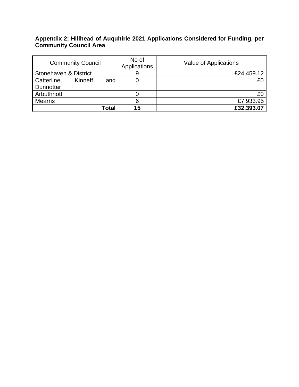## **Appendix 2: Hillhead of Auquhirie 2021 Applications Considered for Funding, per Community Council Area**

| <b>Community Council</b> |         |       | No of<br>Applications | Value of Applications |
|--------------------------|---------|-------|-----------------------|-----------------------|
| Stonehaven & District    |         |       | £24,459.12            |                       |
| Catterline,              | Kinneff | and   |                       | £0                    |
| Dunnottar                |         |       |                       |                       |
| Arbuthnott               |         |       |                       | £С                    |
| Mearns                   |         |       |                       | £7,933.95             |
|                          |         | Гоtal | 15                    | £32,393.07            |